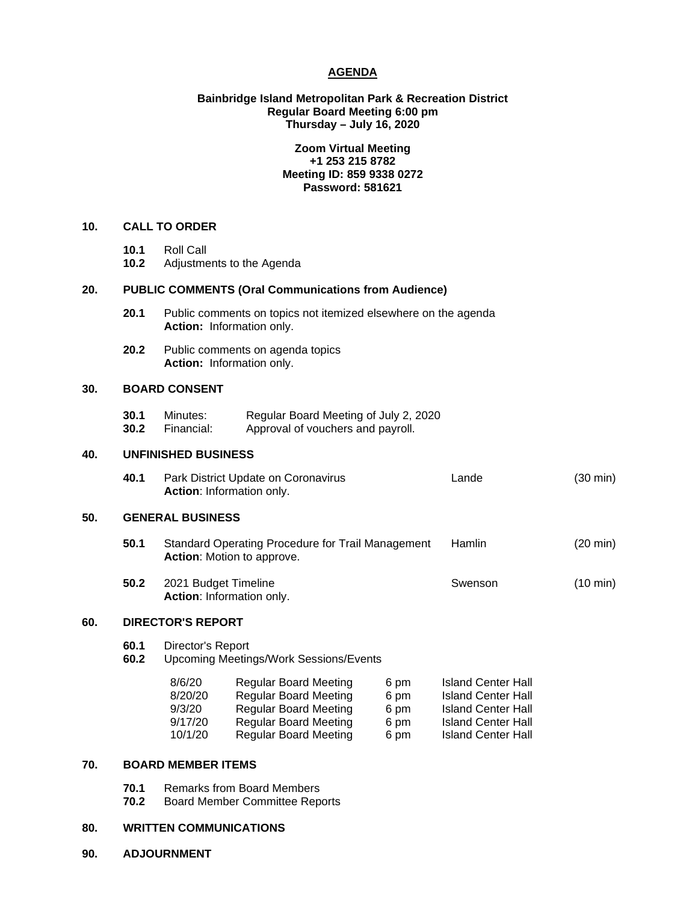## **AGENDA**

# **Bainbridge Island Metropolitan Park & Recreation District Regular Board Meeting 6:00 pm Thursday – July 16, 2020**

# **Zoom Virtual Meeting +1 253 215 8782 Meeting ID: 859 9338 0272 Password: 581621**

# **10. CALL TO ORDER**

- **10.1** Roll Call
- **10.2** Adjustments to the Agenda

### **20. PUBLIC COMMENTS (Oral Communications from Audience)**

- **20.1** Public comments on topics not itemized elsewhere on the agenda **Action:** Information only.
- **20.2** Public comments on agenda topics **Action:** Information only.

# **30. BOARD CONSENT**

**30.1** Minutes: Regular Board Meeting of July 2, 2020<br>**30.2** Financial: Approval of vouchers and pavroll. Approval of vouchers and payroll.

### **40. UNFINISHED BUSINESS**

**40.1** Park District Update on Coronavirus Lande(30 min) **Action**: Information only.

## **50. GENERAL BUSINESS**

- **50.1** Standard Operating Procedure for Trail Management Hamlin (20 min) **Action**: Motion to approve.
- **50.2** 2021 Budget Timeline Swenson Swenson (10 min) **Action**: Information only.

### **60. DIRECTOR'S REPORT**

- **60.1** Director's Report
- **60.2** Upcoming Meetings/Work Sessions/Events

| 8/6/20  | <b>Regular Board Meeting</b> | 6 pm | <b>Island Center Hall</b> |
|---------|------------------------------|------|---------------------------|
| 8/20/20 | <b>Regular Board Meeting</b> | 6 pm | <b>Island Center Hall</b> |
| 9/3/20  | <b>Regular Board Meeting</b> | 6 pm | <b>Island Center Hall</b> |
| 9/17/20 | <b>Regular Board Meeting</b> | 6 pm | <b>Island Center Hall</b> |
| 10/1/20 | <b>Regular Board Meeting</b> | 6 pm | <b>Island Center Hall</b> |
|         |                              |      |                           |

# **70. BOARD MEMBER ITEMS**

- **70.1** Remarks from Board Members<br>**70.2** Board Member Committee Rep
- **70.2** Board Member Committee Reports

# **80. WRITTEN COMMUNICATIONS**

**90. ADJOURNMENT**